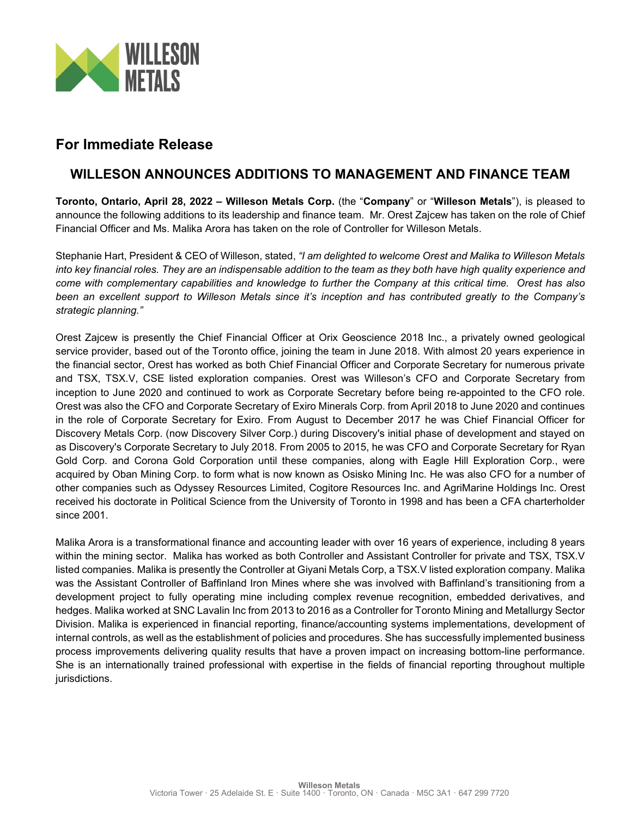

# **For Immediate Release**

## **WILLESON ANNOUNCES ADDITIONS TO MANAGEMENT AND FINANCE TEAM**

**Toronto, Ontario, April 28, 2022 – Willeson Metals Corp.** (the "**Company**" or "**Willeson Metals**"), is pleased to announce the following additions to its leadership and finance team. Mr. Orest Zajcew has taken on the role of Chief Financial Officer and Ms. Malika Arora has taken on the role of Controller for Willeson Metals.

Stephanie Hart, President & CEO of Willeson, stated, *"I am delighted to welcome Orest and Malika to Willeson Metals into key financial roles. They are an indispensable addition to the team as they both have high quality experience and come with complementary capabilities and knowledge to further the Company at this critical time. Orest has also been an excellent support to Willeson Metals since it's inception and has contributed greatly to the Company's strategic planning."* 

Orest Zajcew is presently the Chief Financial Officer at Orix Geoscience 2018 Inc., a privately owned geological service provider, based out of the Toronto office, joining the team in June 2018. With almost 20 years experience in the financial sector, Orest has worked as both Chief Financial Officer and Corporate Secretary for numerous private and TSX, TSX.V, CSE listed exploration companies. Orest was Willeson's CFO and Corporate Secretary from inception to June 2020 and continued to work as Corporate Secretary before being re-appointed to the CFO role. Orest was also the CFO and Corporate Secretary of Exiro Minerals Corp. from April 2018 to June 2020 and continues in the role of Corporate Secretary for Exiro. From August to December 2017 he was Chief Financial Officer for Discovery Metals Corp. (now Discovery Silver Corp.) during Discovery's initial phase of development and stayed on as Discovery's Corporate Secretary to July 2018. From 2005 to 2015, he was CFO and Corporate Secretary for Ryan Gold Corp. and Corona Gold Corporation until these companies, along with Eagle Hill Exploration Corp., were acquired by Oban Mining Corp. to form what is now known as Osisko Mining Inc. He was also CFO for a number of other companies such as Odyssey Resources Limited, Cogitore Resources Inc. and AgriMarine Holdings Inc. Orest received his doctorate in Political Science from the University of Toronto in 1998 and has been a CFA charterholder since 2001.

Malika Arora is a transformational finance and accounting leader with over 16 years of experience, including 8 years within the mining sector. Malika has worked as both Controller and Assistant Controller for private and TSX, TSX.V listed companies. Malika is presently the Controller at Giyani Metals Corp, a TSX.V listed exploration company. Malika was the Assistant Controller of Baffinland Iron Mines where she was involved with Baffinland's transitioning from a development project to fully operating mine including complex revenue recognition, embedded derivatives, and hedges. Malika worked at SNC Lavalin Inc from 2013 to 2016 as a Controller for Toronto Mining and Metallurgy Sector Division. Malika is experienced in financial reporting, finance/accounting systems implementations, development of internal controls, as well as the establishment of policies and procedures. She has successfully implemented business process improvements delivering quality results that have a proven impact on increasing bottom-line performance. She is an internationally trained professional with expertise in the fields of financial reporting throughout multiple jurisdictions.